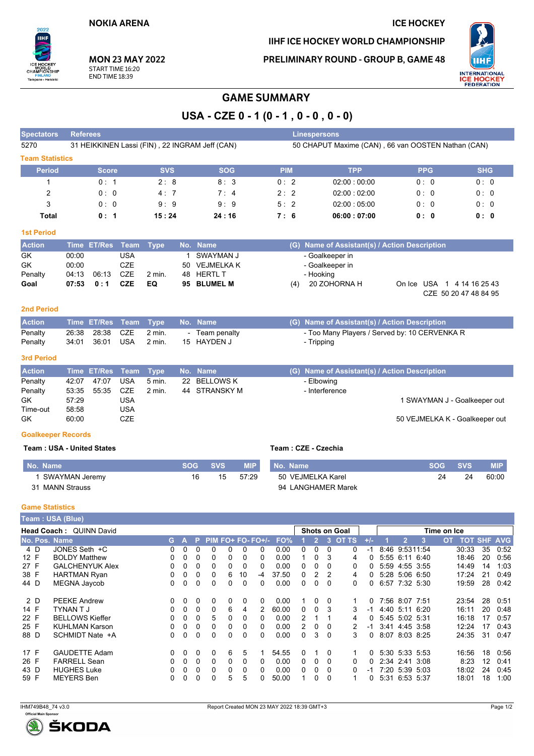# **ICE HOCKEY**

IIHF ICE HOCKEY WORLD CHAMPIONSHIP

**PRELIMINARY ROUND - GROUP B, GAME 48** 



HIP Tampere - Helsinki

 $2022$ 

CHAN

**MON 23 MAY 2022** START TIME 16:20 **END TIME 18:39** 

# **GAME SUMMARY**

USA - CZE  $0 - 1 (0 - 1, 0 - 0, 0 - 0)$ 

| <b>Spectators</b>      | <b>Referees</b>                                |            |             | Linespersons |                                                    |            |            |
|------------------------|------------------------------------------------|------------|-------------|--------------|----------------------------------------------------|------------|------------|
| 5270                   | 31 HEIKKINEN Lassi (FIN), 22 INGRAM Jeff (CAN) |            |             |              | 50 CHAPUT Maxime (CAN), 66 van OOSTEN Nathan (CAN) |            |            |
| <b>Team Statistics</b> |                                                |            |             |              |                                                    |            |            |
| <b>Period</b>          | <b>Score</b>                                   | <b>SVS</b> | <b>SOG</b>  | <b>PIM</b>   | <b>TPP</b>                                         | <b>PPG</b> | <b>SHG</b> |
|                        | 0:1                                            | 2:8        | 8:3         | 0:2          | 02:00:00:00                                        | 0:0        | 0:0        |
| 2                      | 0:0                                            | 4:7        | $7 \cdot 4$ | 2:2          | 02:00:02:00                                        | 0:0        | 0:0        |
| 3                      | 0:0                                            | 9:9        | 9:9         | 5:2          | 02:00:05:00                                        | 0:0        | 0:0        |
| Total                  | 0:1                                            | 15:24      | 24:16       | 7:6          | 06:00:07:00                                        | 0:0        | 0:0        |

#### **1st Period**

| <b>Action</b> |       | Time ET/Res Team Type |            |                   | No. Name      | (G) Name of Assistant(s) / Action Description                              |
|---------------|-------|-----------------------|------------|-------------------|---------------|----------------------------------------------------------------------------|
| GK            | 00:00 |                       | USA        |                   | SWAYMAN J     | - Goalkeeper in                                                            |
| GK            | 00:00 |                       | <b>CZE</b> |                   | 50 VEJMELKA K | - Goalkeeper in                                                            |
| Penalty       | 04:13 | 06:13                 | CZE        | $2 \text{ min}$ . | 48 HERTL T    | - Hooking                                                                  |
| Goal          | 07:53 | 0:1                   | CZE        | EQ.               | 95 BLUMEL M   | 20 ZOHORNA H<br>On Ice USA 1 4 14 16 25 43<br>(4)<br>CZE 50 20 47 48 84 95 |

### 2nd Period

| <b>Action</b> |       |                 | Time ET/Res Team Type No. Name |              | (G) Name of Assistant(s) / Action Description |
|---------------|-------|-----------------|--------------------------------|--------------|-----------------------------------------------|
| Penalty       |       | 26:38 28:38 CZE | 2 min.                         | Team penaltv | - Too Many Players / Served by: 10 CERVENKA R |
| Penalty       | 34:01 | 36:01 USA       | 2 min.                         | 15 HAYDEN J  | Tripping                                      |

#### 3rd Period

| <b>Action</b> |       | Time ET/Res Team Type |     |          | No. Name      | (G) Name of Assistant(s) / Action Description |
|---------------|-------|-----------------------|-----|----------|---------------|-----------------------------------------------|
| Penalty       | 42:07 | 47.07                 | USA | 5 min.   | 22 BELLOWS K  | - Elbowing                                    |
| Penalty       | 53:35 | 55:35                 | CZE | $2$ min. | 44 STRANSKY M | - Interference                                |
| GK            | 57:29 |                       | USA |          |               | 1 SWAYMAN J - Goalkeeper out                  |
| Time-out      | 58.58 |                       | USA |          |               |                                               |
| <b>GK</b>     | 60:00 |                       | CZE |          |               | 50 VEJMELKA K - Goalkeeper out                |

#### **Goalkeeper Records**

#### **Team: USA - United States**

## Team: CZE - Czechia

| No. Name           | <b>SOG</b> | <b>SVS</b> | <b>MIP</b> | No. Name           | <b>SOG</b> | <b>SVS</b> | MIP.  |
|--------------------|------------|------------|------------|--------------------|------------|------------|-------|
| SWAYMAN Jeremy     | 16         | 15         | 57.29      | 50 VEJMELKA Karel  | 24         | 24         | 60:00 |
| MANN Strauss<br>31 |            |            |            | 94 LANGHAMER Marek |            |            |       |

# **Game Statistics**

|      | Team : USA (Blue)       |              |          |          |          |          |          |                    |       |          |               |                |                      |          |                |                |                |             |                    |    |      |
|------|-------------------------|--------------|----------|----------|----------|----------|----------|--------------------|-------|----------|---------------|----------------|----------------------|----------|----------------|----------------|----------------|-------------|--------------------|----|------|
|      | Head Coach: QUINN David |              |          |          |          |          |          |                    |       |          |               |                | <b>Shots on Goal</b> |          |                |                |                | Time on Ice |                    |    |      |
|      | No. Pos. Name           | G.           |          | P.       |          |          |          | $PIM FO+ FO-FO+/-$ | FO%   |          | $\mathcal{P}$ | 3              | <b>OT TS</b>         | $+/-$    |                | 2              |                | <b>OT</b>   | <b>TOT SHF AVG</b> |    |      |
| 4 D  | JONES Seth +C           | 0            | 0        |          | $\Omega$ | $\Omega$ | 0        | $\Omega$           | 0.00  |          | 0             | $\Omega$       | 0                    | -1       |                | 8:46 9:5311:54 |                |             | 30:33              | 35 | 0:52 |
| 12 F | <b>BOLDY Matthew</b>    |              | 0        | 0        | 0        | 0        | 0        | 0                  | 0.00  |          | $\Omega$      | 3              | 4                    | 0        |                |                | 5:55 6:11 6:40 |             | 18:46              | 20 | 0:56 |
| 27 F | <b>GALCHENYUK Alex</b>  | 0            | 0        | 0        | 0        | 0        | $\Omega$ | 0                  | 0.00  | 0        | $\Omega$      | $\Omega$       | 0                    | 0        |                | 5:59 4:55 3:55 |                |             | 14:49              | 14 | 1:03 |
| 38 F | <b>HARTMAN Ryan</b>     | 0            | 0        | 0        | 0        | 6        | 10       | -4                 | 37.50 | 0        | 2             | $\overline{2}$ | 4                    | $\Omega$ |                |                | 5:28 5:06 6:50 |             | 17:24              | 21 | 0:49 |
| 44 D | MEGNA Jaycob            | <sup>0</sup> | $\Omega$ | $\Omega$ | $\Omega$ | 0        | $\Omega$ | $\Omega$           | 0.00  | $\Omega$ | $\Omega$      | - 0            | 0                    | 0        | 6:57 7:32 5:30 |                |                |             | 19:59              | 28 | 0:42 |
| 2 D  | <b>PEEKE Andrew</b>     | 0            | $\Omega$ | 0        | 0        | 0        | $\Omega$ | $\Omega$           | 0.00  |          | 0             | 0              |                      | 0        |                | 7:56 8:07 7:51 |                |             | 23:54              | 28 | 0:51 |
| 14 F | <b>TYNAN T J</b>        | 0            | 0        | $\Omega$ | 0        | 6        | 4        | 2                  | 60.00 | $\Omega$ | $\Omega$      | 3              | 3                    |          |                | 4:40 5:11      | 6:20           |             | 16:11              | 20 | 0:48 |
| 22 F | <b>BELLOWS Kieffer</b>  | 0            | 0        |          | 5        | 0        | 0        | 0                  | 0.00  |          |               |                | 4                    | 0        |                | 5:45 5:02 5:31 |                |             | 16:18              | 17 | 0:57 |
| 25 F | <b>KUHLMAN Karson</b>   | 0            | 0        | $\Omega$ | $\Omega$ | 0        | $\Omega$ | $\Omega$           | 0.00  | 2        | $\Omega$      | $\Omega$       |                      | -1       |                | 3:41 4:45 3:58 |                |             | 12:24              | 17 | 0:43 |
| 88 D | SCHMIDT Nate +A         | 0            | 0        | $\Omega$ | 0        | 0        | 0        | 0                  | 0.00  | 0        | 3             | $\Omega$       | 3                    | 0        |                | 8:07 8:03 8:25 |                |             | 24:35              | 31 | 0.47 |
| 17 F | <b>GAUDETTE Adam</b>    | 0            | $\Omega$ | 0        | 0        | 6        | 5        |                    | 54.55 | $\Omega$ |               | 0              |                      | 0        |                | 5:30 5:33 5:53 |                |             | 16:56              | 18 | 0:56 |
| 26 F | <b>FARRELL Sean</b>     | 0            | $\Omega$ | 0        | 0        | 0        | 0        | 0                  | 0.00  | 0        | $\Omega$      | 0              | 0                    | 0        |                | 2:34 2:41      | 3:08           |             | 8:23               | 12 | 0:41 |
| 43 D | <b>HUGHES Luke</b>      | 0            | 0        | $\Omega$ | 0        | 0        | 0        | 0                  | 0.00  | $\Omega$ | $\Omega$      | 0              | 0                    |          |                | 7:20 5:39 5:03 |                |             | 18:02              | 24 | 0:45 |
| 59 F | <b>MEYERS</b> Ben       |              |          |          | 0        | 5        | 5        |                    | 50.00 |          | $\Omega$      | $\Omega$       |                      | 0        |                | 5:31 6:53 5:37 |                |             | 18:01              | 18 | 1:00 |
|      |                         |              |          |          |          |          |          |                    |       |          |               |                |                      |          |                |                |                |             |                    |    |      |

IHM749B48\_74 v3.0